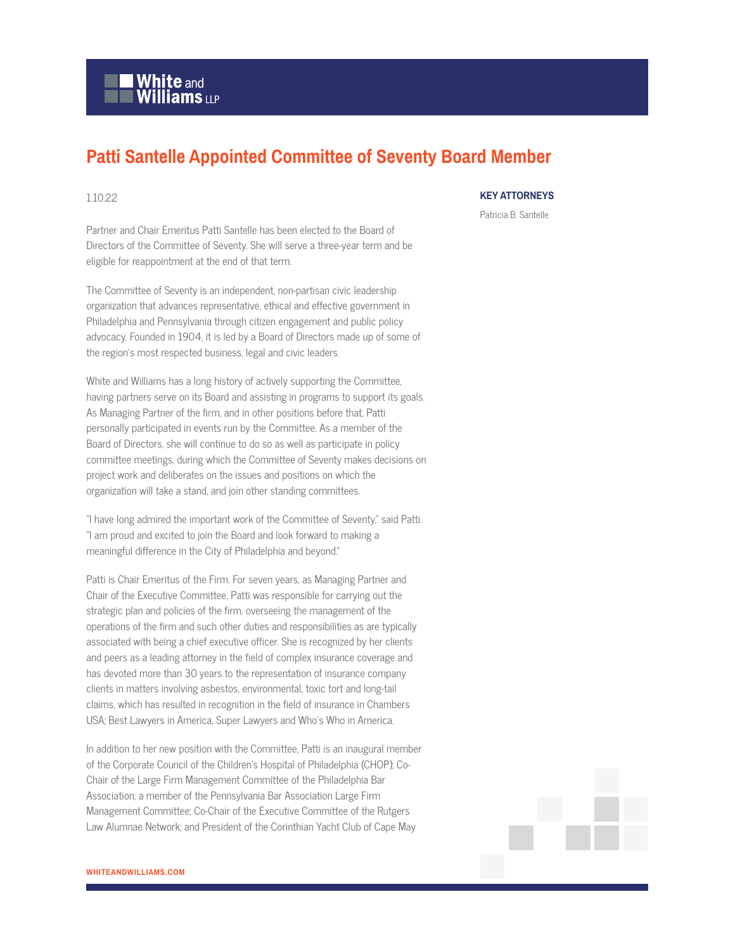

## **Patti Santelle Appointed Committee of Seventy Board Member**

## 1.10.22

Partner and Chair Emeritus Patti Santelle has been elected to the Board of Directors of the Committee of Seventy. She will serve a three-year term and be eligible for reappointment at the end of that term.

The Committee of Seventy is an independent, non-partisan civic leadership organization that advances representative, ethical and effective government in Philadelphia and Pennsylvania through citizen engagement and public policy advocacy. Founded in 1904, it is led by a Board of Directors made up of some of the region's most respected business, legal and civic leaders.

White and Williams has a long history of actively supporting the Committee, having partners serve on its Board and assisting in programs to support its goals. As Managing Partner of the firm, and in other positions before that, Patti personally participated in events run by the Committee. As a member of the Board of Directors, she will continue to do so as well as participate in policy committee meetings, during which the Committee of Seventy makes decisions on project work and deliberates on the issues and positions on which the organization will take a stand, and join other standing committees.

"I have long admired the important work of the Committee of Seventy," said Patti. "I am proud and excited to join the Board and look forward to making a meaningful difference in the City of Philadelphia and beyond."

Patti is Chair Emeritus of the Firm. For seven years, as Managing Partner and Chair of the Executive Committee, Patti was responsible for carrying out the strategic plan and policies of the firm, overseeing the management of the operations of the firm and such other duties and responsibilities as are typically associated with being a chief executive officer. She is recognized by her clients and peers as a leading attorney in the field of complex insurance coverage and has devoted more than 30 years to the representation of insurance company clients in matters involving asbestos, environmental, toxic tort and long-tail claims, which has resulted in recognition in the field of insurance in Chambers USA; Best Lawyers in America, Super Lawyers and Who's Who in America.

In addition to her new position with the Committee, Patti is an inaugural member of the Corporate Council of the Children's Hospital of Philadelphia (CHOP); Co-Chair of the Large Firm Management Committee of the Philadelphia Bar Association; a member of the Pennsylvania Bar Association Large Firm Management Committee; Co-Chair of the Executive Committee of the Rutgers Law Alumnae Network; and President of the Corinthian Yacht Club of Cape May

## **KEY ATTORNEYS**

Patricia B. Santelle